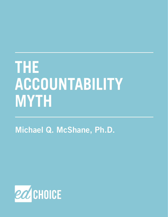# **THE ACCOUNTABILITY MYTH**

Michael Q. McShane, Ph.D.

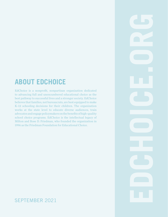## **ABOUT EDCHOICE**

EdChoice is a nonprofit, nonpartisan organization dedicated to advancing full and unencumbered educational choice as the best pathway to successful lives and a stronger society. EdChoice believes that families, not bureaucrats, are best equipped to make K–12 schooling decisions for their children. The organization works at the state level to educate diverse audiences, train advocates and engage policymakers on the benefits of high-quality school choice programs. EdChoice is the intellectual legacy of Milton and Rose D. Friedman, who founded the organization in 1996 as the Friedman Foundation for Educational Choice.

#### SEPTEMBER 2021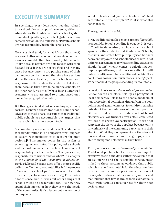## <span id="page-2-0"></span>**EXECUTIVE SUMMARY**

In seemingly every legislative hearing related to a school choice proposal, someone, either an advocate for the traditional public school system or an ideologically sympathetic legislator will say some variation on the following: "Private schools are not accountable, but public schools are."

Now, a typical (and, for what it's worth, correct) response to this assertion is that private schools are more accountable than traditional public schools. That's because parents are able to vote with their feet and leave if they are not satisfied, and in many cases because parents are putting some of their own money on the line and therefore have serious skin in the game. In short, private schools are more responsive to the needs of the children that attend them because they have to be; public schools, on the other hand, historically have been guaranteed students who are assigned to attend based on a particular geographic boundary.

But this typical (and at risk of sounding repetitious, correct) response allows traditional public school advocates to steal a base. It assumes that traditional public schools are accountable but argues that private schools are more accountable.

Accountability is a contested term. The Merriam-Webster definition is "an obligation or willingness to accept responsibility or to account for one's actions.["1](#page-15-0) This makes sense in the realm of schooling, as accountability policy asks schools and the professionals that teach in them to accept responsibility for their actions. The question is, responsibility to whom and for what? In a chapter in the *Handbook of the Economics of Education*, David Figlio and Susana Loeb offer a more specific definition. To them, accountability is "the process of evaluating school performance on the basis of student performance measures.["2](#page-15-0) This makes a lot of sense, but it leaves out other things that schools might be accountable for, like how they spend their money or how they serve the needs of the community. It also leaves out any notion of consequences.

What if traditional public schools aren't held accountable in the first place? That is what this paper argues.

The argument is threefold.

First, traditional public schools are not *financially accountable*. School spending is opaque. It is very difficult to determine just how much a school spends on the students that it educates. Schools, districts, and states have put up myriad barriers between taxpayers and schoolhouses. There is not uniform agreement as to what spending categories should "count" when it comes to calculating perpupil expenditures, and the same district will publish multiple numbers in different outlets. If we don't know how or how much money is being spent, we cannot hold the people spending it accountable.

Second, schools are not *democratically accountable*. School boards are often held up as paragons of local democracy—close to the people, made up of non-professional politicians drawn from the body politic out of genuine interest for children, existing outside of the degradations of partisan politics. Oh, were that so. Unfortunately, school board elections are low-turnout affairs often conducted "off-cycle" to ensure low participation. They do not represent the views of the populace because only a tiny minority of the community participate in their election. What they do represent are the views of motivated and resourced interest groups, who are able to swing small elections in their favor.

Third, schools are not *educationally accountable*. Traditional public school advocates hold up the extensive testing and data-gathering systems that states operate and the ostensible consequences linked to those systems as evidence that public schools are held accountable for the education they provide. Even a cursory peek under the hood of these systems shows that they are so byzantine and manipulable that few, if any, schools ever actually meet with serious consequences for their poor performance.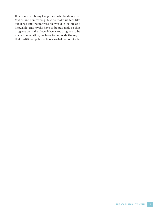It is never fun being the person who busts myths. Myths are comforting. Myths make us feel like our large and incompressible world is legible and knowable. But myths have to be put aside so that progress can take place. If we want progress to be made in education, we have to put aside the myth that traditional public schools are held accountable.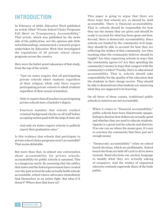### **INTRODUCTION**

In February of 2020, *Education Week* published an article titled "Private School Choice Programs Fall Short on Transparency, Accountability." That article, which was published by the news side of the publication, not the opinion side (title notwithstanding), summarized a research project undertaken by *Education Week* that investigated the regulations of 29 private school choice programs across the country.

Here were the bullet-point takeaways of that study, from the top of the article:

- "Just six states require that all participating private schools admit students regardless of their religion, while only three require participating private schools to admit students regardless of their sexual orientation.
- Only 11 require that all teachers in participating private schools have a bachelor's degree. •
- Fourteen mandate that schools conduct criminal background checks on all staff before accepting tuition paid with the help of state aid. •
- And only six states require schools to publicly report their graduation rates." •

Is this evidence that schools that participate in private school choice programs aren't accountable? That seems debatable.

But more than that, in almost any conversation about accountability for private schools, accountability for public schools is assumed. This is a dangerous myth. By assuming that the edifice that states and the federal government have created over the past several decades actually holds schools accountable, school choice advocates immediately find themselves in an unfair fight. But what if it doesn't? Where does that leave us?

This paper is going to argue that there are three ways that schools are, or should be, held accountable. There is financial accountability. That is, schools should be responsible for how they use the money they are given and should be ready to account for what has been spent and how. Second, there is democratic accountability. Since schools are funded by the community writ large, they should be able to account for how they are reflecting the wishes of that community. Are they teaching what the community believes should be taught? Are they organizing schools in ways that the community agrees to? Are they spending the community's money in ways that comport with the community's wishes? Finally, there is educational accountability. That is, schools should take responsibility for the quality of the education that the students in their charge receive. They should be able to demonstrate that students are mastering what they are supposed to be learning.

On all three of these counts, traditional public schools in America are not accountable.

- When it comes to "financial accountability," public schools have been disastrously opaque, failing to disclose how dollars are actually spent and whether they are used to educate students. Opacity is a great tool for schools and districts: If no one can see where the money goes, it's easy to convince the community that there just isn't enough money.
- "Democratic accountability" relies on school •board elections, which are problematic. School board elections are held off-cycle to drive down turnout. Bond elections use unclear language to muddy what they are actually asking of taxpayers. And the wishes of organized interests routinely supersede those of the body politic.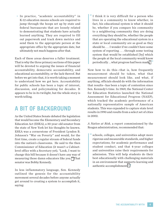<span id="page-5-0"></span>• In practice, "academic accountability" in  $\|$  " K-12 education means schools are required to jump through the hoops set up by state and federal bureaucrats that are loosely related to demonstrating that students have actually learned anything. They are required to fill out paperwork and track down metrics and send them to the appropriate person at the appropriate office by the appropriate date, but ultimately not much happens after that.

Each of these areas deserves a fuller treatment. That is why the three primary sections of this paper will be devoted to arguing the issues of financial accountability, democratic accountability, and educational accountability, or the lack thereof. But before we get into that, it is worth taking a moment to understand how we got here. Accountability for public schools has been a topic of interest, discussion, and policymaking for decades. It appears to be in its twilight, but the whole story is worth telling.

### **A BIT OF BACKGROUND**

As the United States Senate debated the legislation that would become the Elementary and Secondary Education Act (ESEA), a 30-year-old senator from the state of New York let his thoughts be known. ESEA was a cornerstone of President Lyndon B. Johnson's "War on Poverty" and would, for the first time, create a regular stream of federal funds into the nation's classrooms. He said to the then Commissioner of Education (it wasn't a Cabinetlevel office with a Secretary yet), "Look, I want to change this bill because it doesn't have any way of measuring those damn educators like you.["3](#page-15-0) That senator was Bobby Kennedy.

In less inflammatory language, Sen. Kennedy outlined the genesis for the accountability movement several decades before anyone actually got around to creating a system to accomplish it, saying:

I think it is very difficult for a person who lives in a community to know whether, in fact, his educational system is what it should be, whether if you compare his community to a neighboring community they are doing everything they should be, whether the people that are operating the educational system in a state or local community are as good as they should be. . . . I wonder if we couldn't have some system of reporting . . . through some testing system that would be established [by] which the people at the local community would know periodically . . . what progress had been mad[e.4](#page-15-0) **"**

Now how to do this—that is, how frequently measurement should be taken, what that measurement should look like, and what, if anything, officials should do with the information that results—has been a topic of contention since Sen. Kennedy's time. In 1969, the National Center for Education Statistics launched the National Assessment for Educational Progress (NAEP), which tracked the academic performance of a nationally representative sample of American students. This was expanded to capture state level results in 1990 and results from a select set of cities in 2002.

*A Nation at Risk*, a report commissioned by the Reagan administration, recommended that:

schools, colleges, and universities adopt more **"** rigorous and measurable standards, and higher expectations, for academic performance and student conduct, and that 4-year colleges and universities raise their requirements for admission. This will help students do their best educationally with challenging materials in an environment that supports learning and authentic accomplishment[.5](#page-15-0) **"**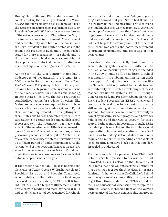<span id="page-6-0"></span>During the 1980s and 1990s, states across the country took up the challenge outlined in *A Nation at Risk* and increasingly tested students and used the scores to measure school performance. In 1989, President George H. W. Bush convened a conference of the nation's governors in Charlottesville, Va., to discuss educational improvement. Measurement and accountability were both on the docket, and the next President of the United States was in the room. Both presidents Bush and Clinton pushed states for more measurement of schools and to think about how to hold schools accountable, but the support was rhetorical. Federal funding was never contingent on creating any such systems.

At the turn of the 21st Century, states had a hodgepodge of accountability systems. In a 2003 paper in the academic journal *Educational Evaluation and Policy Analysis*, Martin Carnoy and Susanna Loeb categorized state systems in terms of their repercussions for students and schools.<sup>6</sup> In some states, like Iowa, the state required no standardized testing for students. In others, like Maine, some grades were required to administer tests (in Maine's case in grades 4,8, and 11), but there were no requirements to do anything with them. States like Kansas had state requirements to test students in certain grades and publish school report cards with the information, but that was the extent of the requirements. Illinois was deemed to have a "moderate" level of repercussions, as lowperforming schools could be put on "watch lists" or eventually be subject to state intervention after a sufficient period of underperformance. At the "strong" end of the spectrum, Texas required every school to test students in grades 3-8 and 10 and then prescribed a series of consequences for schools that didn't meet performance targets.

If that regime sounds familiar, it is because the Governor of Texas, George W. Bush, was elected President in 2000 and brought Texas-style accountability to the nation in his first major piece of domestic legislation, No Child Left Behind (NCLB). NCLB set a target of 100 percent student proficiency in reading and math by the year 2014 and established a set of consequences for schools

and districts that did not make "adequate yearly progress" toward that goal. States had flexibility in how they defined and measured proficiency and the timeline that they wanted to follow to get to 100 percent proficiency and over time figured out ways to get around some of the harsher punishments that were slated to come into effect if schools did not meet targets for several years, but for the first time, there was across-the-board measurement of student performance and reporting of that performance.

President Obama initially built on the accountability systems of NCLB with Race to the Top, a competitive grant program included in the 2009 stimulus bill. In addition to school accountability, the Obama administration (with the support of major funders in education like the Gates Foundation) pushed to include teacher accountability, with states developing test-based teacher evaluation systems. In 2015, though, Congress passed, and President Obama signed, the Every Student Succeeds Act (ESSA), which wound down the federal role in accountability while still requiring states to maintain accountability systems. States now have much more flexibility in how they measure student progress and how they hold schools and districts to account for those scores. Perhaps more importantly, though, ESSA included provisions that for the first time would require districts to report spending at the school level. Prior to that legislation, districts were only required to report their spending at the district level, creating a massive black box that outsiders struggled to understand.

Two decades after the passage of No Child Left Behind, it's a fair question to ask whether or not it worked. Deven Carlson of the University of Oklahoma penned an interesting summation in a working paper for the American Enterprise Institute. In it, he says that No Child Left Behind and the systems of accountability that it ushered in got three things right. First, NCLB shifted the focus of educational discussion from inputs to outputs. Second, it shined a light on the varying performance of different demographic subgroups.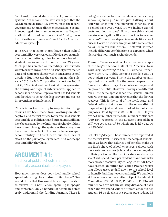<span id="page-7-0"></span>And third, it forced states to develop robust data systems. At the same time, Carlson argues that the NCLB era made three key errors. First, the federal government set unrealistic expectations. Second, it encouraged a too-narrow focus on reading and math standardized test scores. And finally, it was too inflexible and one-size-fits-all for the American education system[.7](#page-15-0)

It is true that some states have taken school accountability very seriously. Florida, for example, has provided letter grades for schools based on student performance for more than 25 years. Michigan has created an incredibly user-friendly website where anyone can find school performance data and compare schools within and across school districts. But these are the exception, not the rule. As a 2010 RAND Corporation report on NCLB put it, "The rigid and mechanical rules governing the timing and type of interventions applied to schools identified for improvement has led schools and districts to select the least severe and easiest interventions to implement." [8](#page-15-0)

This is important history to keep in mind. Huge efforts have been made from Washington, state capitols, and district offices to try and hold schools accountable to politicians and bureaucrats. Billions have been spent. Tens of millions of school children have passed through the system as these programs have been in effect. If schools have escaped accountability, it hasn't been due to a lack of effort on the part of policymakers. And yet escape accountability they have.

#### **ARGUMENT #1:**

Traditional public schools are not financially accountable to taxpayers

How much money does your local public school spend educating the children in its charge? One would think that this would be a simple question to answer. It is not. School spending is opaque and contested. Only a handful of people in a state truly understand the funding formula. There is

not agreement as to what counts when measuring school spending. Are we just talking about "current" spending, the operating expenses that a school pays every year? Do we include capital costs and debt service? How do we think about long-term obligations like contributions to teacher pensions? How do we depreciate assets like school buses? Do we do it over five years like some states do or 20 years like others? Different sources include different combinations of expenses when identifying how much a school spends.

These differences matter. Let's use an example of the largest school district in America, New York City. According to the U.S. Census Bureau, New York City Public Schools spends \$28,004 per student per year. This is the number usually reported in the media. It is the current expenditure figure, including things like salaries and wages and employee benefits. However, looking at a different tab in the same spreadsheet, the Census Bureau reports the total amount of revenue that the district receives. This is the total of the local, state, and federal dollars that are sent to the school district to spend, not just what is earmarked for particular purposes. That figure is \$33,788,513,000. If you divide that number by the total number of students (960,484, reported in the adjacent spreadsheet cell) you get \$35,179.<sup>9</sup> So which one is it? \$28,000 or \$35,000?

But let's dig deeper. Those numbers are reported at the district level. Districts are made up of schools, and if we know that salaries and benefits make up the lion's share of school expenses, schools with more veteran teachers (who make more money due to their position on the district's step-and-lane pay scale) will spend more per student than those with more novice teachers. My colleagues at EdChoice have created an online tool called Project Nickel that allows users to drill down to the school level to identify building-level spending[.10](#page-15-0) We can look at four schools on the southern tip of the island of Manhattan: PS 130, PS 15, PS 142, and PS 134. All four schools are within walking distance of each other and yet spend wildly different amounts per student. PS 15 clocks in at \$40,986 per student. PS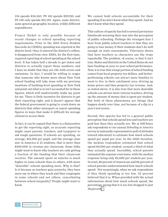<span id="page-8-0"></span>134 spends \$34,243. PS 142 spends \$29,910, and PS 130 only spends \$21,195. Again, same district, same general geographic location, wildly different expenditures.

Project Nickel is only possible because of recent changes to school spending reporting requirements. Prior to the 2015 Every Student Succeeds Act (ESSA), spending was reported at the district level. Once it entered the district's coffers, it disappeared from view. ESSA, for the first time, required reporting of school spending at the school level. It has taken half a decade to get states and districts to actually report those numbers, and I have no doubt that they are rife with errors and omissions. In fact, I would be willing to wager that someone who knows more about New York school funding will take issue with my previous mentions of building-level spending in New York and point out what is or isn't accounted for in those figures, which will inadvertently make my point for me. There is little incentive for districts to get their reporting right, and it doesn't appear that the federal government is going to crack down on districts that either misreport or report spending figures in ways that make it difficult for average citizens to access them.

In fact, it can be argued that there is a disincentive to get the reporting right, as accurate reporting might cause parents, teachers, and taxpayers to ask tough questions. If schools are spending, on average, \$14,500 per pupil, and the average class size in America is 21 students, that is more than \$300,000 in revenue per classroom. Some folks might want to know why teachers are only getting a fraction of the funding that their classroom receives. The amount spent on salaries is much higher in some schools than in others, with more "desirable" schools spending more. Why is that? Is it because as teachers gain seniority, they have more say in where they teach and thus congregate in some schools and not others, exacerbating between-school inequality? People might want to know.

We cannot hold schools accountable for their spending if we don't know what they spend. And we don't know what they spend.

This culture of opacity has led to several pernicious falsehoods worming their way into the perception of public schooling. Perhaps the strangest fear I hear from public school teachers is that they are going to lose money if their students don't do well enough on state assessments. Television shows that have teachers as characters use the trope repeatedly. The problem, of course, is that it isn't true. States and districts in the United States do not base funding on year-to-year school performance. Now, it is true that a large portion of school funding comes from local property tax dollars, and betterperforming schools can attract more families to want to live in their catchment area, driving up home prices and thus property tax revenue. And, as stated above, it is also true that more desirable schools can attract more veteran teachers, driving up the amount of money that is spent per student. But both of these phenomena are things that happen slowly over time, not because of a dip in a year's test scores.

Second, this opacity has led to a general public perception that schools spend less and teachers are paid less than they actually are. We at EdChoice ask respondents to our annual *Schooling in America*  survey (a nationally representative poll of attitudes toward education) to estimate how much schools spend per pupil per year. In the 2020 iteration, the median respondent estimated that school spend \$4,000 per student, around a third of what they actually spend. Incredibly, school parents estimated the expense even lower, with the median response being only \$2,000 per student per year. In total, 80 percent of Americans and 82 percent of school parents underestimated how much schools spend. Not surprisingly, when we ask respondents if they think spending is too low, 52 percent believed that it is. When provided with the actual information about how much schools spend, the percentage saying that it is too low dropped to just 38 percent.<sup>11</sup>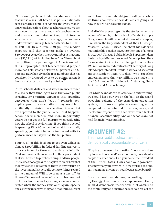<span id="page-9-0"></span>The same pattern holds for discussions of teacher salaries. EdChoice also polls a nationally representative sample of Americans every month, and we ask questions about teacher salaries. We ask respondents to estimate how much teachers make, and also ask them whether they think teacher salaries are too low. On average, respondents underestimate average teacher salaries by \$15,000 to \$20,000. In our June 2021 poll, the median response said that teachers make on average \$40,000 per year, when the true number at that time was \$57,282 (not including benefits). Throughout our polling, the percentage of Americans who think, unprompted, that teachers should get paid more has held steady between 60 percent and 65 percent. But when given the true numbers, that has consistently dropped by 15 to 20 points, taking it from a majority to a minority opinion.<sup>12</sup>

Third, schools, districts, and states are incentivized to classify their funding in ways that avoid public scrutiny. By shunting expenses into spending categories that don't "count" towards perpupil expenditure calculations, they are able to artificially diminish the spending figures that are reported to the public. When that happens, school board members and, more importantly, voters do not get the full picture when evaluating how the school is performing. If you think a school is spending 75 or 80 percent of what it is actually spending, you might be more impressed with its performance than if you had the full picture.

Fourth, all of this is about to get even wilder as almost \$200 billion in federal funding arrives to districts from the three coronavirus relief bills. That represents thousands of dollars per student that will be used to purchase things and hire people. There does not appear to be a plan to track how that money is spent, let alone if there is any return on the investment. Is it actually going to things related to the pandemic? Will it be seen as a one-off (or three-off) source of revenue? Or will it become part of the baseline of school spending, showing massive "cuts" when the money runs out? Again, opacity and a strong incentive to try and maximize current

and future revenue should give us all pause when we think about where these dollars are going and how they are being accounted for.

And all of the preceding omits the stories, which are legion, of fraud by public school officials. A simple Google search will turn out dozens of examples, like when the Superintendent of the St. Joseph, Missouri School District lied about his salary to maximize his pension payout to the tune of almost \$700,000[.13](#page-15-0) Chicago Public Schools Superintendent Barbara Byrd-Bennett received federal prison time for receiving kickbacks in exchange for more than \$20 million in no-bid contracts.<sup>14</sup> The story of Long Island superintendent Frank Tassone and assistant superintendent Pam Gluckin, who together embezzled more than \$10 million, was made into the 2019 movie "Bad Education" starring Hugh Jackman and Allison Janney.

But while scandals are salacious and entertaining, we should keep our eye on the ball. In the grand sweeping scheme of the American education system, all these examples are rounding errors compared to the potential for excess, waste, and ineffective expenditures that flow from a lack of financial accountability. And our schools are not held financially accountable.

#### **ARGUMENT #2:**  • Traditional public schools are not democratically accountable to citizens

If trying to answer the question "how much does my local school spend" was too tough, how about a couple of easier ones. Can you name the President of the United States? How about your governor? The mayor of your town? OK, now for the hard one, can you name anyone on your local school board?

Local school boards are, according to the mythology that has grown up around them, small-d democratic institutions that answer to the community and ensure that schools reflect the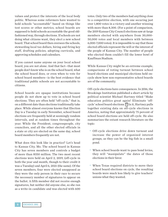<span id="page-10-0"></span>values and protect the interests of the local body politic. Whereas some reformers have wanted to hold schools "accountable" based on things like test scores or other metrics, school boards are supposed to hold schools accountable the good oldfashioned way, through elections. If schools are not doing what citizens want, they elect a new school board. That school board then oversees the schools, stewarding local tax dollars, hiring and firing key staff, drafting policies, adopting curricula, and approving schedules and calendars.

If you cannot name anyone on your local school board, you are not alone. And that fact—that most people don't know who is on the school board, what the school board does, or even when to vote for school board members—is the best evidence that traditional public schools are not accountable to citizens.

School boards are opaque institutions because people do not show up to vote in school board elections. They are often held "off-cycle," that is, on a different date than elections traditionally take place. While almost everyone knows that Election Day is a Tuesday in early November, school board elections are frequently held at seemingly random intervals, and at random times throughout the year. While the President, congresspeople, city councilors, and all the other elected officials in a state or city are elected on the same day, school board members frequently are not.

What does this look like in practice? Let's head to Kansas City, Mo. The school board in Kansas City has seven members and controls a budget of more than \$350 million. The two most recent elections were held on April 2, 2019, (off-cycle in both the year and month, though to their credit it was a Tuesday) and April 6, 2021 (the same). Of the seven members, four were elected unopposed as they were the only person in their race to secure the necessary number of signatures to appear on the ballot. A fifth member did not receive enough signatures, but neither did anyone else, so she ran as a write-in candidate and was elected with 600

votes. Only two of the members had anything close to a competitive election, with one securing just over 1,800 votes in a victory and another winning with more than 8,300. (For a point of comparison, the 2019 Kansas City Council elections saw at-large members elected with anywhere from 30,000- 50,000 votes and local members with between 6,000-7,000 votes). It is impossible to say that those elected officials represent the will or the interest of the people of Kansas City. The number of people who elected them couldn't fill the lower bowl of Kauffman Stadium.

While Kansas City might be an extreme example, comparisons of voting turnout between school board elections and municipal elections held oncycle show how non-representative school boards are of the community.

Off-cycle elections have consequences. In 2016, the Brookings Institution published a short article by political scientist Michael Hartney titled "Make education politics great again! Eliminate 'offcycle' school board elections.["15](#page-15-0) In it, Hartney pulls together existing data on off-cycle elections in America, noting that approximately 75 percent of school board elections are held off-cycle. He also summarizes the extant research literature on the topic:

- Off-cycle elections drive down turnout and increase the power of organized interest groups, as they can be the big fish in a small pond.
- When school boards want to pass bond levies, they will "manipulate" the dates of those elections in their favor.
- When Texas required districts to move their •school board elections on cycle, the resulting boards were much less likely to give teachers' unions what they wanted.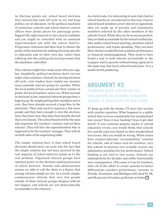<span id="page-11-0"></span>As Hartney points out, school board elections were historically held off-cycle to try and keep politics out of education. In the political machines of yesteryear, schools and school district central offices were prime places for patronage posts. Support the right mayoral or city council candidate and you might be rewarded with an assistant superintendent job with the school district. Progressive reformers did their best to thwart the power of the machines by making elections specific to education and on their own day, rather than rolled up into the existing electoral processes that the machines controlled.

This solution might have made sense 100 years ago, but, thankfully, political machines don't run our major cities anymore. Instead, by moving elections off-cycle, civic leaders have traded one massive unaccountable interest group for another. While the local political boss cannot put their cronies in power, the local teachers' union can. When turnout in elections is low, organized interest groups have a huge leg up. By simply getting their members out to vote, they have already secured a large bloc in the electorate. They only need to organize a few more people and they have enough to win the election. Once they have won, they have functionally elected their own bosses. The school board will be the ones who negotiate the teachers' contract and set their salaries. They will hire the superintendent who is supposed to be the teachers' manager. They will sit on both sides of the negotiating table.

The simple solution here is that school board elections should move on-cycle, but the fact that the simple solution has not been pursued in the vast majority of school districts points us to the real problem. Organized interest groups have outsized power in the decision-making processes of school districts. Teacher and administrator unions are able to call the shots to a degree that average citizens simply are not. As a result, simple, commonsense reforms that very few people outside of those interest groups disagree with do not happen, and schools are not democratically accountable to the citizenry.

As a brief coda, it is interesting to note that charter school boards are not selected in this way. Charter school board members aren't elected or appointed, they are made up of parents and community members selected by the other members of the schools' board. While they are by no means perfect, they are held accountable by the school's authorizer, who audits school board meeting, monitors school performance, and tracks spending. They can have their charter revoked for low academic performance or financial mismanagement. They seem to have found a way to hold schools accountable to the taxpayer and to parents without being captured in the same way that local school boards have. It is a model worth pondering.

#### **ARGUMENT #3**

Traditional public schools are not educationally accountable to students, parents, or anyone else for that matter

To keep up with the theme, I'll start this section with another question: What happens to a public school that receives consistently low standardized test scores? Does it lose funding? Does it get shut down? If you consume popular media or attend education events, you would think that schools live and die each year based on their standardized test scores. But you would be wrong. While states have created elaborate "accountability" systems for schools, and at times even for teachers, very few schools in practice ever actually receive any substantive penalties for low performance. School funding is not tied to test scores. Schools can underperform for decades and suffer functionally zero consequences. (The same is true for teachers; after all of the effort to create systems to better differentiate teachers performance, systems in Florida, Tennessee, and Michigan still rated 97, 98, and 98 percent of teacher proficient or better.<sup>16</sup>)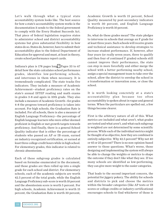<span id="page-12-0"></span>Let's walk through what a typical state accountability system looks like. The best source for how a state's accountability system works is the documentation it sends to the federal government to comply with the Every Student Succeeds Act. That piece of federal legislation requires states to administer school and district accountability systems but gives substantial flexibility in how states do so. States do, however, have to submit their accountability plan to the federal Department of Education for approval and must, at least in theory, create school performance report cards.

Indiana's plan is 178 pages lon[g.17](#page-15-0) Pages 33 to 67 detail how the state calculates school performance grades, identifies low-performing schools, and intervenes in them when necessary. It is tremendously complicated. The state tracks five indicators. They include a measure of Academic Achievement—student proficiency rates on the state's annual ISTEP reading and math exams in grades 3-8 and again in 10th grade. They also include a measure of Academic Growth—for grades 4-8 the progress toward proficiency is taken into account. For high schools, the Graduation Rate is included. For all schools, there is also a measure of English Language Proficiency—the percentage of English language learners who were either deemed proficient in English or met growth targets towards proficiency. And finally, there is a general School Quality indicator that is either the percentage of students who passed an AP or IB exam, earned an industry-recognized certification, or earned at least three college credit hours while in high school. For elementary grades, this indicator is related to chronic absenteeism.

Each of these subgroup grades is calculated based on formulae enumerated in the document, and those grades are then rolled up into a single grade for each school and district. For elementary schools, each of the academic subjects are worth 42.5 percent of the total grade, while the English Language Proficiency sub-score is worth 10 percent and the absenteeism score is worth 5 percent. For high schools, Academic Achievement is worth 15 percent, the Graduation Rate is worth 30 percent, Academic Growth is worth 15 percent, School Quality measured by post-secondary indicators is worth 30 percent, and English Language Proficiency is worth 10 percent.

So, what do these grades mean? The state pledges to intervene in schools that average an F grade for at least three years. Such schools will receive grants and technical assistance to develop strategies to increase student performance. If, however, after four years (or really seven years, three to qualify and then four of continued F grades) schools still cannot improve their performance, the state can step in more forcefully and either merge the school with a better performing nearby school, assign a special management team to take over the school, allow the district to envelop the school in a transformation or innovation zone, or close the school.

It is worth looking concretely at a state's accountability plan because too often accountability is spoken about in vague and general terms. When the particulars are spelled out, a few things become clearer.

First is the arbitrary nature of all of this. What metrics are included and what aren't, what grades are tested and what aren't, and what each subgroup is weighted are not determined by some scientific process. While each of the individual metrics might be thought of as objective, how they are combined is entirely subjective. Why 42.5 percent? Why not 40 or 45 or 25 percent? There is no non-opinion-based answer to those questions. What's worse, those designing and implementing the system will always be able to change the weights or metrics to shape the outcome if they don't like what they see. If too many schools are identified as low-performing, they can give more weight to the easier categories.

That leads to the second important concern, the potential for jiggery pokery. The ability for schools and districts to pick and choose the metrics within the broader categories (like AP tests or IB scores or college credits or industry certifications) encourages schools to find whichever of those is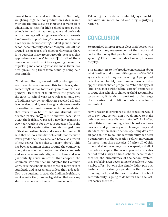<span id="page-13-0"></span>easiest to achieve and max them out. Similarly, weighting high school graduation rates, which might be the single easiest metric to game in all of education, so high for high school scores pushes schools to hand out caps and gowns and push kids across the stage. Allowing the use of measurements like "growth to proficiency" allows schools to look like they are demonstrating student growth, but as school accountability scholar Morgan Polikoff has argued "as measures of school performance there is no question these are not growth measures that approximate schools' impacts.["18](#page-15-0) In all of these cases, schools and districts are gaming the metrics or picking and choosing what will make them look best, preventing them from actually being held accountable.

Third and finally, recent policy changes and world events have rendered this toothless system something less than toothless (gumless or chinless perhaps). In March of 2020, when the grades for the 2018-19 school year were released, only two of Indiana's 407 school districts received a D and two received and F, even though state-level results on reading and math assessments demonstrated that fewer than half of Indiana students were deemed proficient[.19](#page-15-0) But no matter, because in 2020, the legislature passed a new law granting a two-year reprieve for any consequences from the accountability system after the state changed some of its standardized tests and scores plummeted. It said that schools and districts could not receive a lower grade than they received before as a result of new scores (see: pokery, jiggery, above). This has been a common theme around the country as many states adopted the Common Core standards and new assessments aligned to them and was particularly acute in states that adopted the Common Core and then un-adopted the Common Core, causing schools to use three or more sets of standards and assessments in less than a decade. Not to be outdone, in 2021 the Indiana legislature went even farther, passing legislation that ends any state intervention in low-performing schools.

Taken together, state accountability systems like Indiana's are much sound and fury, signifying nothing.

#### **CONCLUSION**

So organized interest groups elect their bosses who water down any measurement of their work and pocket the money that people don't realize they are spending. Other than that, Mrs. Lincoln, how was the play?

This all matters to the broader conversation about what families and communities get out of the K-12 system in which they are investing. A purported lack of accountability is a common reason cited to oppose school choice programs. While the typical (and, once more with feeling, correct) response is to argue that schools of choice are held accountable by parents, it is also important to challenge the premise that public schools are actually accountable.

Now, a reasonable response to the preceding would be to say "OK, so why don't we do more to make public schools actually accountable?" As I offer, doing things like moving school board elections on-cycle and promoting more transparency and standardization around school spending data are all good things to do. But accountability has been a cornerstone of the education reform movement for more than three decades. If, after all of this time, and all of the money that was spent, and all of the political capital that was expended, advocates cannot find a way to hold schools accountable through the bureaucracy of the school system, they probably aren't ever going to be able to. It was a noble effort, but one that simply didn't pan out. Perhaps this is simply a pendulum that is going to swing back, and the next iteration of school accountability is going to do better than the last. I'm deeply skeptical.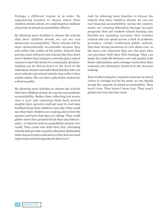Perhaps a different regime is in order. By empowering families to choose where their children attend school, we could deputize millions of parents as school accountability officers.

By allowing more families to choose the schools that their children attend, we can see real democratic accountability. These schools will be more democratically accountable because they will reflect the wishes of the polity. Schools that parents want will grow and schools that they don't won't. Rather than trying to centrally plan a school system to meet the needs of a community, decisionmaking can be driven down to the level of the individual citizens and individual families who can start schools and attend schools that reflect their wishes rather. We can have a pluralistic system for a diverse polity.

By allowing more families to choose the schools that their children attend, we can see real academic accountability. Rather than collecting test scores once a year and reporting them back several months later, parents could get next to real-time feedback from their children every day. They could see what their children are reading and review the quizzes and tests that they are taking. They could gather more fine-grained detail than any federal-, state-, or district-level accountability system ever could. They could vote with their feet, attending schools that provide a quality education (defined by what characteristics and metrics they feel are most important) and leaving schools that aren't.

And, by allowing more families to choose the schools that their children attend, we can see real financial accountability. Across the country, states are creating Education Savings Account programs that put student school funding into flexible-use spending accounts that families control and can spend across a host of academic providers. Unlike traditional public schools, they have strong incentives to care about cost, as the more cost conscious they are, the more they can purchase with their ESA funding. They can make the tradeoffs between cost and quality with better information and a stronger motivation than someone not intimately involved in the decision making.

Even if advocating for a massive increase in school choice is a bridge too far for some, no one should accept the canards of school accountability. They aren't true. They haven't been true. They aren't going to be true any time soon.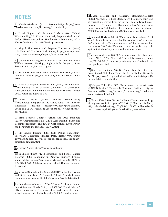#### <span id="page-15-0"></span>**NOTES**

Merriam-Webster (2021) *Accountability*, https://www. [1.](#page-2-0) merriam-webster.com/dictionary/accountability

[2.](#page-2-0) David Figlio and Susanna Loeb (2011), "School Accountability," In Eric A. Hanushek, Stephen Machin, and Ludger Woessmann, editor: Handbooks in Economics, Vol. 3, The Netherlands: North-Holland, pp. 383-421.

Abigail Thernstrom and Stephan Thernstrom (2004) [3.](#page-5-0) "No Excuses" The New York Times, https://www.nytimes. com/2004/01/04/books/chapters/no-excuses.html

[4.](#page-5-0) United States Congress, Committee on Labor and Public Welfare (1965) "Hearings, Eighty-ninth Congress, First Session, on S. 370, Parts 1-2" pg 514.

National Commission on Excellence in Education (1983), *A*  [5.](#page-5-0) *Nation At Risk*, https://www2.ed.gov/pubs/NatAtRisk/index. html

[6.](#page-6-0) Martin Carnoy and Susanna Loeb (2002) "Does External Accountability Affect Student Outcomes? A Cross-State Analysis, Educational Evaluation and Policy Analysis, Winter 2002, Vol 24. No 4, pp 305-331.

Carlson (2021) "Holding Accountability Accountable: Taking Stock of the Past 20 Years," The American Enterprise Institute, https://www.aei.org/wp-content/ uploads/2021/05/Holding-Accountability-Accountable. pdf?x91208 [7.](#page-7-0)

[8.](#page-7-0) Brian Stecher, Georges Vernez, and Paul Steinberg (2010) "Reauthorizing No Child Left Behind: Facts and Recommendations." The RAND Corporation, https://www. rand.org/pubs/monographs/MG977.html

US Census Bureau (2021) 2019 Public Elementary-[9.](#page-7-0) Secondary Education Finance Data, https://www.census. gov/data/tables/2019/econ/school-finances/secondaryeducation-finance.html

[10.](#page-7-0) Project Nickel, https://projectnickel.com/

EdChoice (2020) "K-12 Education and School Choice [11.](#page-8-0) Reforms: 2020 Schooling in America Survey," https:// www.edchoice.org/wp-content/uploads/2020/08/ K%E2%80%9312-Education-and-School-Choice-Reforms-FINAL.pdf

[12.](#page-9-0) Morning Consult and EdChoice (2021) The Public, Parents, and K-12 Education: A National Polling Project, https:// edchoice.morningconsultintelligence.com/assets/123620.pdf

[13.](#page-9-0) Department of Justice (2016) "Former St. Joseph School Superintendent Pleads Guilty to \$662,000 Fraud Scheme" https://www.justice.gov/usao-wdmo/pr/former-st-josephschool-supeintendent-pleads-guilty-662000-fraud-scheme

[14.](#page-9-0) Jason Meisner and Katherine Rosenberg-Douglas (2020) "Former CPS head Barbara Byrd-Bennett, convicted of corruption, moved from prison to Ohio halfway house." *Chicago Tribune* https://www.chicagotribune.com/ news/breaking/ct-barbara-byrd-bennett-prison-release-20200506-mxnfrofhavbabkqb75gi3abdpy-story.html

[15.](#page-10-0) Michael Hartney (2016) "Make education politics great again! Eliminate 'off-cycle' school board elections" *Brookings Institution*, https://www.brookings.edu/blog/brown-centerchalkboard/2016/02/26/make-education-politics-greatagain-eliminate-off-cycle-school-board-elections/

[16.](#page-11-0) Jenny Anderson (2013) "Curious Grade for Teachers: Nearly All Pass" *The New York Times*, https://www.nytimes. com/2013/03/31/education/curious-grade-for-teachersnearly-all-pass.html

[17.](#page-12-0) State of Indiana (2019) "State Template for the Consolidated State Plan Under the Every Student Succeeds Act," https://www2.ed.gov/admins/lead/account/stateplan17/ inconsolidatedstateplanfinal.pdf

[18.](#page-13-0) Morgan Polikoff (2017) "Let's leave the worst parts of NCLB behind" Thomas B. Fordham Institute, https:// fordhaminstitute.org/national/commentary/lets-leaveworst-parts-nclb-behind

Emma Kate Fittes (2019) "Indiana 2019 test scores drop, [19.](#page-13-0)hitting new low in first year of ILEARN," Chalkbeat Indiana, https://in.chalkbeat.org/2019/9/4/21108831/indiana-2019 test-scores-drop-hitting-new-low-in-first-year-of-ilearn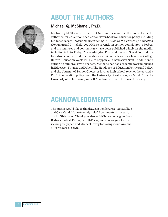## **ABOUT THE AUTHORS**



#### Michael Q. McShane , Ph.D.

Michael Q. McShane is Director of National Research at EdChoice. He is the author, editor, co-author, or co-editor eleven books on education policy, including his most recent *Hybrid Homeschooling: A Guide to the Future of Education*  (Rowman and Littlefield, 2021) He is currently an opinion contributor to Forbes, and his analyses and commentary have been published widely in the media, including in USA Today, The Washington Post, and the Wall Street Journal. He has also been featured in education-specific outlets such as Teachers College Record, Education Week, Phi Delta Kappan, and Education Next. In addition to authoring numerous white papers, McShane has had academic work published in Education Finance and Policy, The Handbook of Education Politics and Policy, and the Journal of School Choice. A former high school teacher, he earned a Ph.D. in education policy from the University of Arkansas, an M.Ed. from the University of Notre Dame, and a B.A. in English from St. Louis University.

## **ACKNOWLEDGMENTS**

The author would like to thank Susan Pendergrass, Nat Malkus, and Cara Candal for extremely helpful comments on an early draft of this paper. Thank you also to EdChoice colleagues Jason Bedrick, Robert Enlow, Paul DiPerna, and Jen Wagner for reviewing the paper, and Michael Davey for laying it out. Any and all errors are his own.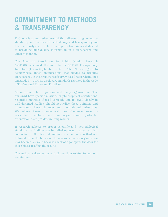## **COMMITMENT TO METHODS & TRANSPARENCY**

EdChoice is committed to research that adheres to high scientific standards, and matters of methodology and transparency are taken seriously at all levels of our organization. We are dedicated to providing high-quality information in a transparent and efficient manner.

The American Association for Public Opinion Research (AAPOR) welcomed EdChoice to its AAPOR Transparency Initiative (TI) in September of 2015. The TI is designed to acknowledge those organizations that pledge to practice transparency in their reporting of survey-based research findings and abide by AAPOR's disclosure standards as stated in the Code of Professional Ethics and Practices.

All individuals have opinions, and many organizations (like our own) have specific missions or philosophical orientations. Scientific methods, if used correctly and followed closely in well-designed studies, should neutralize these opinions and orientations. Research rules and methods minimize bias. We believe rigorous procedural rules of science prevent a researcher's motives, and an organization's particular orientation, from pre-determining results.

If research adheres to proper scientific and methodological standards, its findings can be relied upon no matter who has conducted it. If rules and methods are neither specified nor followed, then the biases of the researcher or an organization may become relevant, because a lack of rigor opens the door for those biases to affect the results.

The authors welcomes any and all questions related to methods and findings.